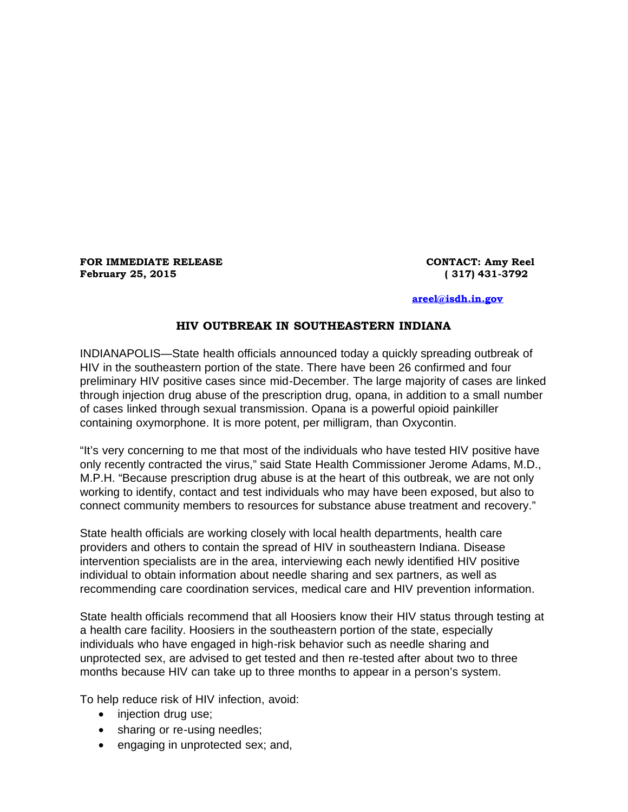**FOR IMMEDIATE RELEASE CONTACT: Amy Reel February 25, 2015 ( 317) 431-3792**

## **[areel@isdh.in.gov](mailto:areel@isdh.in.gov)**

## **HIV OUTBREAK IN SOUTHEASTERN INDIANA**

INDIANAPOLIS—State health officials announced today a quickly spreading outbreak of HIV in the southeastern portion of the state. There have been 26 confirmed and four preliminary HIV positive cases since mid-December. The large majority of cases are linked through injection drug abuse of the prescription drug, opana, in addition to a small number of cases linked through sexual transmission. Opana is a powerful opioid painkiller containing oxymorphone. It is more potent, per milligram, than Oxycontin.

"It's very concerning to me that most of the individuals who have tested HIV positive have only recently contracted the virus," said State Health Commissioner Jerome Adams, M.D., M.P.H. "Because prescription drug abuse is at the heart of this outbreak, we are not only working to identify, contact and test individuals who may have been exposed, but also to connect community members to resources for substance abuse treatment and recovery."

State health officials are working closely with local health departments, health care providers and others to contain the spread of HIV in southeastern Indiana. Disease intervention specialists are in the area, interviewing each newly identified HIV positive individual to obtain information about needle sharing and sex partners, as well as recommending care coordination services, medical care and HIV prevention information.

State health officials recommend that all Hoosiers know their HIV status through testing at a health care facility. Hoosiers in the southeastern portion of the state, especially individuals who have engaged in high-risk behavior such as needle sharing and unprotected sex, are advised to get tested and then re-tested after about two to three months because HIV can take up to three months to appear in a person's system.

To help reduce risk of HIV infection, avoid:

- injection drug use;
- sharing or re-using needles;
- engaging in unprotected sex; and,